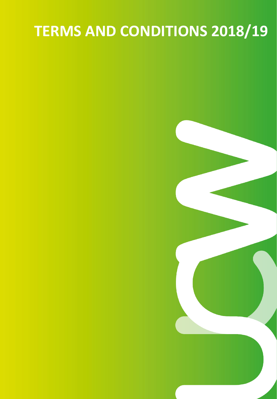# **TERMS AND CONDITIONS 2018/19**

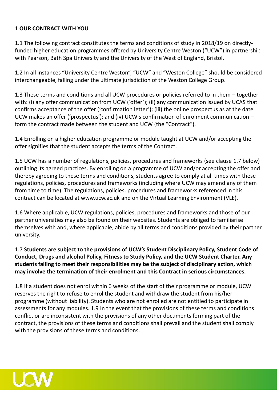#### 1 **OUR CONTRACT WITH YOU**

1.1 The following contract constitutes the terms and conditions of study in 2018/19 on directlyfunded higher education programmes offered by University Centre Weston ("UCW") in partnership with Pearson, Bath Spa University and the University of the West of England, Bristol.

1.2 In all instances "University Centre Weston", "UCW" and "Weston College" should be considered interchangeable, falling under the ultimate jurisdiction of the Weston College Group.

1.3 These terms and conditions and all UCW procedures or policies referred to in them – together with: (i) any offer communication from UCW ('offer'); (ii) any communication issued by UCAS that confirms acceptance of the offer ('confirmation letter'); (iii) the online prospectus as at the date UCW makes an offer ('prospectus'); and (iv) UCW's confirmation of enrolment communication – form the contract made between the student and UCW (the "Contract").

1.4 Enrolling on a higher education programme or module taught at UCW and/or accepting the offer signifies that the student accepts the terms of the Contract.

1.5 UCW has a number of regulations, policies, procedures and frameworks (see clause 1.7 below) outlining its agreed practices. By enrolling on a programme of UCW and/or accepting the offer and thereby agreeing to these terms and conditions, students agree to comply at all times with these regulations, policies, procedures and frameworks (including where UCW may amend any of them from time to time). The regulations, policies, procedures and frameworks referenced in this contract can be located at www.ucw.ac.uk and on the Virtual Learning Environment (VLE).

1.6 Where applicable, UCW regulations, policies, procedures and frameworks and those of our partner universities may also be found on their websites. Students are obliged to familiarise themselves with and, where applicable, abide by all terms and conditions provided by their partner university.

1.7 **Students are subject to the provisions of UCW's Student Disciplinary Policy, Student Code of Conduct, Drugs and alcohol Policy, Fitness to Study Policy, and the UCW Student Charter. Any students failing to meet their responsibilities may be the subject of disciplinary action, which may involve the termination of their enrolment and this Contract in serious circumstances.** 

1.8 If a student does not enrol within 6 weeks of the start of their programme or module, UCW reserves the right to refuse to enrol the student and withdraw the student from his/her programme (without liability). Students who are not enrolled are not entitled to participate in assessments for any modules. 1.9 In the event that the provisions of these terms and conditions conflict or are inconsistent with the provisions of any other documents forming part of the contract, the provisions of these terms and conditions shall prevail and the student shall comply with the provisions of these terms and conditions.

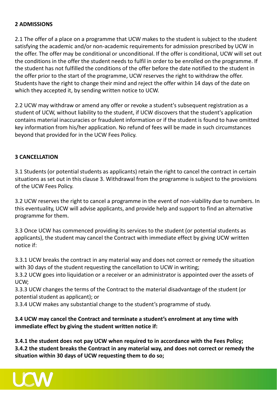#### **2 ADMISSIONS**

2.1 The offer of a place on a programme that UCW makes to the student is subject to the student satisfying the academic and/or non-academic requirements for admission prescribed by UCW in the offer. The offer may be conditional or unconditional. If the offer is conditional, UCW will set out the conditions in the offer the student needs to fulfil in order to be enrolled on the programme. If the student has not fulfilled the conditions of the offer before the date notified to the student in the offer prior to the start of the programme, UCW reserves the right to withdraw the offer. Students have the right to change their mind and reject the offer within 14 days of the date on which they accepted it, by sending written notice to UCW.

2.2 UCW may withdraw or amend any offer or revoke a student's subsequent registration as a student of UCW, without liability to the student, if UCW discovers that the student's application contains material inaccuracies or fraudulent information or if the student is found to have omitted key information from his/her application. No refund of fees will be made in such circumstances beyond that provided for in the UCW Fees Policy.

## **3 CANCELLATION**

3.1 Students (or potential students as applicants) retain the right to cancel the contract in certain situations as set out in this clause 3. Withdrawal from the programme is subject to the provisions of the UCW Fees Policy.

3.2 UCW reserves the right to cancel a programme in the event of non-viability due to numbers. In this eventuality, UCW will advise applicants, and provide help and support to find an alternative programme for them.

3.3 Once UCW has commenced providing its services to the student (or potential students as applicants), the student may cancel the Contract with immediate effect by giving UCW written notice if:

3.3.1 UCW breaks the contract in any material way and does not correct or remedy the situation with 30 days of the student requesting the cancellation to UCW in writing;

3.3.2 UCW goes into liquidation or a receiver or an administrator is appointed over the assets of UCW;

3.3.3 UCW changes the terms of the Contract to the material disadvantage of the student (or potential student as applicant); or

3.3.4 UCW makes any substantial change to the student's programme of study.

#### **3.4 UCW may cancel the Contract and terminate a student's enrolment at any time with immediate effect by giving the student written notice if:**

**3.4.1 the student does not pay UCW when required to in accordance with the Fees Policy; 3.4.2 the student breaks the Contract in any material way, and does not correct or remedy the situation within 30 days of UCW requesting them to do so;** 

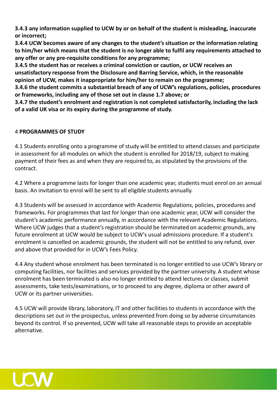**3.4.3 any information supplied to UCW by or on behalf of the student is misleading, inaccurate or incorrect;** 

**3.4.4 UCW becomes aware of any changes to the student's situation or the information relating to him/her which means that the student is no longer able to fulfil any requirements attached to any offer or any pre-requisite conditions for any programme;** 

**3.4.5 the student has or receives a criminal conviction or caution, or UCW receives an unsatisfactory response from the Disclosure and Barring Service, which, in the reasonable opinion of UCW, makes it inappropriate for him/her to remain on the programme;** 

**3.4.6 the student commits a substantial breach of any of UCW's regulations, policies, procedures or frameworks, including any of those set out in clause 1.7 above; or** 

**3.4.7 the student's enrolment and registration is not completed satisfactorily, including the lack of a valid UK visa or its expiry during the programme of study.** 

## 4 **PROGRAMMES OF STUDY**

4.1 Students enrolling onto a programme of study will be entitled to attend classes and participate in assessment for all modules on which the student is enrolled for 2018/19, subject to making payment of their fees as and when they are required to, as stipulated by the provisions of the contract.

4.2 Where a programme lasts for longer than one academic year, students must enrol on an annual basis. An invitation to enrol will be sent to all eligible students annually.

4.3 Students will be assessed in accordance with Academic Regulations, policies, procedures and frameworks. For programmes that last for longer than one academic year, UCW will consider the student's academic performance annually, in accordance with the relevant Academic Regulations. Where UCW judges that a student's registration should be terminated on academic grounds, any future enrolment at UCW would be subject to UCW's usual admissions procedure. If a student's enrolment is cancelled on academic grounds, the student will not be entitled to any refund, over and above that provided for in UCW's Fees Policy.

4.4 Any student whose enrolment has been terminated is no longer entitled to use UCW's library or computing facilities, nor facilities and services provided by the partner university. A student whose enrolment has been terminated is also no longer entitled to attend lectures or classes, submit assessments, take tests/examinations, or to proceed to any degree, diploma or other award of UCW or its partner universities.

4.5 UCW will provide library, laboratory, IT and other facilities to students in accordance with the descriptions set out in the prospectus, unless prevented from doing so by adverse circumstances beyond its control. If so prevented, UCW will take all reasonable steps to provide an acceptable alternative.

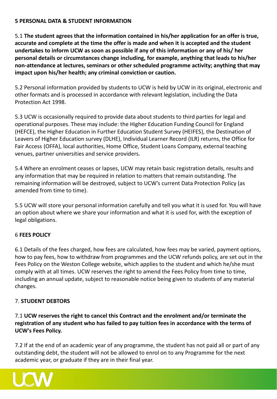#### **5 PERSONAL DATA & STUDENT INFORMATION**

5.1 **The student agrees that the information contained in his/her application for an offer is true, accurate and complete at the time the offer is made and when it is accepted and the student undertakes to inform UCW as soon as possible if any of this information or any of his/ her personal details or circumstances change including, for example, anything that leads to his/her non-attendance at lectures, seminars or other scheduled programme activity; anything that may impact upon his/her health; any criminal conviction or caution.** 

5.2 Personal information provided by students to UCW is held by UCW in its original, electronic and other formats and is processed in accordance with relevant legislation, including the Data Protection Act 1998.

5.3 UCW is occasionally required to provide data about students to third parties for legal and operational purposes. These may include: the Higher Education Funding Council for England (HEFCE), the Higher Education in Further Education Student Survey (HEIFES), the Destination of Leavers of Higher Education survey (DLHE), Individual Learner Record (ILR) returns, the Office for Fair Access (OFFA), local authorities, Home Office, Student Loans Company, external teaching venues, partner universities and service providers.

5.4 Where an enrolment ceases or lapses, UCW may retain basic registration details, results and any information that may be required in relation to matters that remain outstanding. The remaining information will be destroyed, subject to UCW's current Data Protection Policy (as amended from time to time).

5.5 UCW will store your personal information carefully and tell you what it is used for. You will have an option about where we share your information and what it is used for, with the exception of legal obligations.

#### 6 **FEES POLICY**

6.1 Details of the fees charged, how fees are calculated, how fees may be varied, payment options, how to pay fees, how to withdraw from programmes and the UCW refunds policy, are set out in the Fees Policy on the Weston College website, which applies to the student and which he/she must comply with at all times. UCW reserves the right to amend the Fees Policy from time to time, including an annual update, subject to reasonable notice being given to students of any material changes.

#### 7. **STUDENT DEBTORS**

7.1 **UCW reserves the right to cancel this Contract and the enrolment and/or terminate the registration of any student who has failed to pay tuition fees in accordance with the terms of UCW's Fees Policy.** 

7.2 If at the end of an academic year of any programme, the student has not paid all or part of any outstanding debt, the student will not be allowed to enrol on to any Programme for the next academic year, or graduate if they are in their final year.

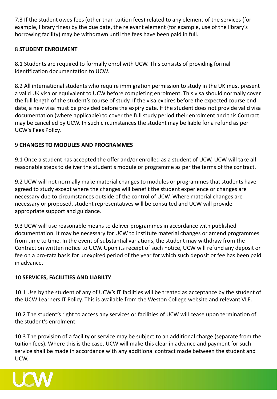7.3 If the student owes fees (other than tuition fees) related to any element of the services (for example, library fines) by the due date, the relevant element (for example, use of the library's borrowing facility) may be withdrawn until the fees have been paid in full.

## 8 **STUDENT ENROLMENT**

8.1 Students are required to formally enrol with UCW. This consists of providing formal identification documentation to UCW.

8.2 All international students who require immigration permission to study in the UK must present a valid UK visa or equivalent to UCW before completing enrolment. This visa should normally cover the full length of the student's course of study. If the visa expires before the expected course end date, a new visa must be provided before the expiry date. If the student does not provide valid visa documentation (where applicable) to cover the full study period their enrolment and this Contract may be cancelled by UCW. In such circumstances the student may be liable for a refund as per UCW's Fees Policy.

## 9 **CHANGES TO MODULES AND PROGRAMMES**

9.1 Once a student has accepted the offer and/or enrolled as a student of UCW, UCW will take all reasonable steps to deliver the student's module or programme as per the terms of the contract.

9.2 UCW will not normally make material changes to modules or programmes that students have agreed to study except where the changes will benefit the student experience or changes are necessary due to circumstances outside of the control of UCW. Where material changes are necessary or proposed, student representatives will be consulted and UCW will provide appropriate support and guidance.

9.3 UCW will use reasonable means to deliver programmes in accordance with published documentation. It may be necessary for UCW to institute material changes or amend programmes from time to time. In the event of substantial variations, the student may withdraw from the Contract on written notice to UCW. Upon its receipt of such notice, UCW will refund any deposit or fee on a pro-rata basis for unexpired period of the year for which such deposit or fee has been paid in advance.

## 10 **SERVICES, FACILITIES AND LIABILTY**

10.1 Use by the student of any of UCW's IT facilities will be treated as acceptance by the student of the UCW Learners IT Policy. This is available from the Weston College website and relevant VLE.

10.2 The student's right to access any services or facilities of UCW will cease upon termination of the student's enrolment.

10.3 The provision of a facility or service may be subject to an additional charge (separate from the tuition fees). Where this is the case, UCW will make this clear in advance and payment for such service shall be made in accordance with any additional contract made between the student and UCW.

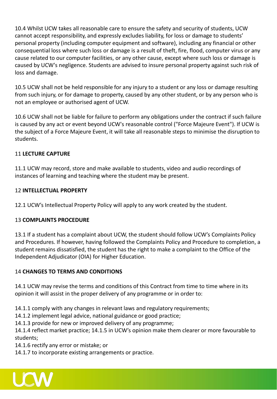10.4 Whilst UCW takes all reasonable care to ensure the safety and security of students, UCW cannot accept responsibility, and expressly excludes liability, for loss or damage to students' personal property (including computer equipment and software), including any financial or other consequential loss where such loss or damage is a result of theft, fire, flood, computer virus or any cause related to our computer facilities, or any other cause, except where such loss or damage is caused by UCW's negligence. Students are advised to insure personal property against such risk of loss and damage.

10.5 UCW shall not be held responsible for any injury to a student or any loss or damage resulting from such injury, or for damage to property, caused by any other student, or by any person who is not an employee or authorised agent of UCW.

10.6 UCW shall not be liable for failure to perform any obligations under the contract if such failure is caused by any act or event beyond UCW's reasonable control ("Force Majeure Event"). If UCW is the subject of a Force Majeure Event, it will take all reasonable steps to minimise the disruption to students.

# 11 **LECTURE CAPTURE**

11.1 UCW may record, store and make available to students, video and audio recordings of instances of learning and teaching where the student may be present.

## 12 **INTELLECTUAL PROPERTY**

12.1 UCW's Intellectual Property Policy will apply to any work created by the student.

# 13 **COMPLAINTS PROCEDURE**

13.1 If a student has a complaint about UCW, the student should follow UCW's Complaints Policy and Procedures. If however, having followed the Complaints Policy and Procedure to completion, a student remains dissatisfied, the student has the right to make a complaint to the Office of the Independent Adjudicator (OIA) for Higher Education.

# 14 **CHANGES TO TERMS AND CONDITIONS**

14.1 UCW may revise the terms and conditions of this Contract from time to time where in its opinion it will assist in the proper delivery of any programme or in order to:

14.1.1 comply with any changes in relevant laws and regulatory requirements;

14.1.2 implement legal advice, national guidance or good practice;

14.1.3 provide for new or improved delivery of any programme;

14.1.4 reflect market practice; 14.1.5 in UCW's opinion make them clearer or more favourable to students;

14.1.6 rectify any error or mistake; or

14.1.7 to incorporate existing arrangements or practice.